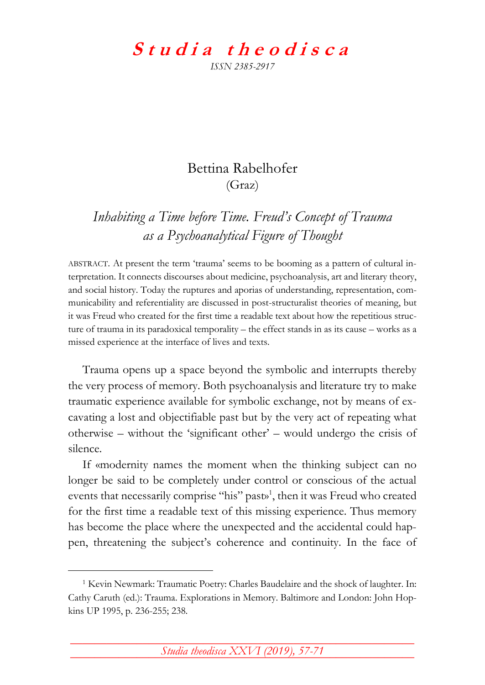## Studia theodisca *ISSN 2385-2917*

## Bettina Rabelhofer (Graz)

*Inhabiting a Time before Time. Freud's Concept of Trauma as a Psychoanalytical Figure of Thought*

ABSTRACT. At present the term 'trauma' seems to be booming as a pattern of cultural interpretation. It connects discourses about medicine, psychoanalysis, art and literary theory, and social history. Today the ruptures and aporias of understanding, representation, communicability and referentiality are discussed in post-structuralist theories of meaning, but it was Freud who created for the first time a readable text about how the repetitious structure of trauma in its paradoxical temporality – the effect stands in as its cause – works as a missed experience at the interface of lives and texts.

Trauma opens up a space beyond the symbolic and interrupts thereby the very process of memory. Both psychoanalysis and literature try to make traumatic experience available for symbolic exchange, not by means of excavating a lost and objectifiable past but by the very act of repeating what otherwise – without the 'significant other' – would undergo the crisis of silence.

If «modernity names the moment when the thinking subject can no longer be said to be completely under control or conscious of the actual events that necessarily comprise "his" past»<sup>1</sup>, then it was Freud who created for the first time a readable text of this missing experience. Thus memory has become the place where the unexpected and the accidental could happen, threatening the subject's coherence and continuity. In the face of

<u>.</u>

\_\_\_\_\_\_\_\_\_\_\_\_\_\_\_\_\_\_\_\_\_\_\_\_\_\_\_\_\_\_\_\_\_\_\_\_\_\_\_\_\_\_\_\_\_\_\_\_\_\_\_\_\_\_\_\_\_ *Studia theodisca XXVI (2019), 57-71* **¯¯¯¯¯¯¯¯¯¯¯¯¯¯¯¯¯¯¯¯¯¯¯¯¯¯¯¯¯¯¯¯¯¯¯¯¯¯¯¯¯¯¯¯¯¯¯¯¯¯¯¯¯¯¯¯¯**

<sup>1</sup> Kevin Newmark: Traumatic Poetry: Charles Baudelaire and the shock of laughter. In: Cathy Caruth (ed.): Trauma. Explorations in Memory. Baltimore and London: John Hopkins UP 1995, p. 236-255; 238.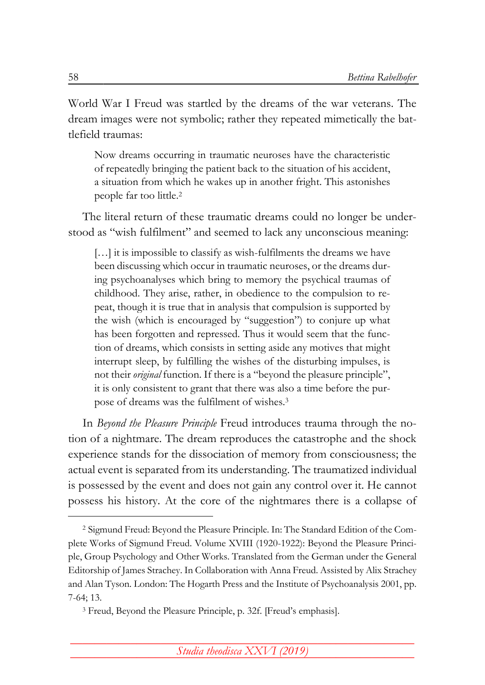World War I Freud was startled by the dreams of the war veterans. The dream images were not symbolic; rather they repeated mimetically the battlefield traumas:

Now dreams occurring in traumatic neuroses have the characteristic of repeatedly bringing the patient back to the situation of his accident, a situation from which he wakes up in another fright. This astonishes people far too little.<sup>2</sup>

The literal return of these traumatic dreams could no longer be understood as "wish fulfilment" and seemed to lack any unconscious meaning:

[...] it is impossible to classify as wish-fulfilments the dreams we have been discussing which occur in traumatic neuroses, or the dreams during psychoanalyses which bring to memory the psychical traumas of childhood. They arise, rather, in obedience to the compulsion to repeat, though it is true that in analysis that compulsion is supported by the wish (which is encouraged by "suggestion") to conjure up what has been forgotten and repressed. Thus it would seem that the function of dreams, which consists in setting aside any motives that might interrupt sleep, by fulfilling the wishes of the disturbing impulses, is not their *original* function. If there is a "beyond the pleasure principle", it is only consistent to grant that there was also a time before the purpose of dreams was the fulfilment of wishes.<sup>3</sup>

In *Beyond the Pleasure Principle* Freud introduces trauma through the notion of a nightmare. The dream reproduces the catastrophe and the shock experience stands for the dissociation of memory from consciousness; the actual event is separated from its understanding. The traumatized individual is possessed by the event and does not gain any control over it. He cannot possess his history. At the core of the nightmares there is a collapse of

<sup>2</sup> Sigmund Freud: Beyond the Pleasure Principle. In: The Standard Edition of the Complete Works of Sigmund Freud. Volume XVIII (1920-1922): Beyond the Pleasure Principle, Group Psychology and Other Works. Translated from the German under the General Editorship of James Strachey. In Collaboration with Anna Freud. Assisted by Alix Strachey and Alan Tyson. London: The Hogarth Press and the Institute of Psychoanalysis 2001, pp. 7-64; 13.

<sup>3</sup> Freud, Beyond the Pleasure Principle, p. 32f. [Freud's emphasis].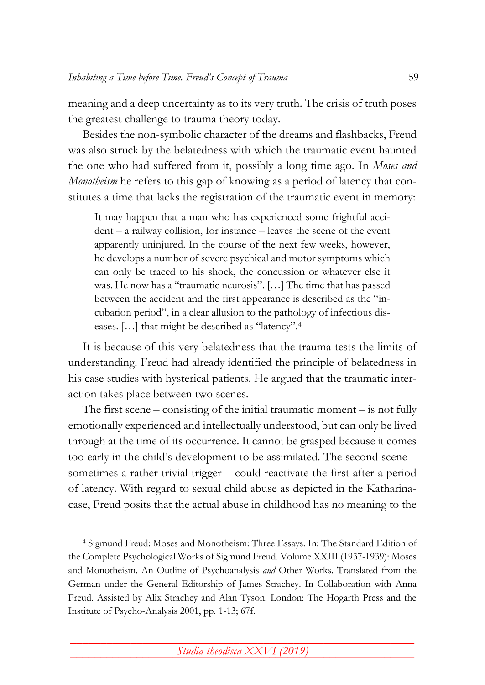meaning and a deep uncertainty as to its very truth. The crisis of truth poses the greatest challenge to trauma theory today.

Besides the non-symbolic character of the dreams and flashbacks, Freud was also struck by the belatedness with which the traumatic event haunted the one who had suffered from it, possibly a long time ago. In *Moses and Monotheism* he refers to this gap of knowing as a period of latency that constitutes a time that lacks the registration of the traumatic event in memory:

It may happen that a man who has experienced some frightful accident – a railway collision, for instance – leaves the scene of the event apparently uninjured. In the course of the next few weeks, however, he develops a number of severe psychical and motor symptoms which can only be traced to his shock, the concussion or whatever else it was. He now has a "traumatic neurosis". […] The time that has passed between the accident and the first appearance is described as the "incubation period", in a clear allusion to the pathology of infectious diseases. […] that might be described as "latency".<sup>4</sup>

It is because of this very belatedness that the trauma tests the limits of understanding. Freud had already identified the principle of belatedness in his case studies with hysterical patients. He argued that the traumatic interaction takes place between two scenes.

The first scene – consisting of the initial traumatic moment – is not fully emotionally experienced and intellectually understood, but can only be lived through at the time of its occurrence. It cannot be grasped because it comes too early in the child's development to be assimilated. The second scene – sometimes a rather trivial trigger – could reactivate the first after a period of latency. With regard to sexual child abuse as depicted in the Katharinacase, Freud posits that the actual abuse in childhood has no meaning to the

<sup>4</sup> Sigmund Freud: Moses and Monotheism: Three Essays. In: The Standard Edition of the Complete Psychological Works of Sigmund Freud. Volume XXIII (1937-1939): Moses and Monotheism. An Outline of Psychoanalysis *and* Other Works. Translated from the German under the General Editorship of James Strachey. In Collaboration with Anna Freud. Assisted by Alix Strachey and Alan Tyson. London: The Hogarth Press and the Institute of Psycho-Analysis 2001, pp. 1-13; 67f.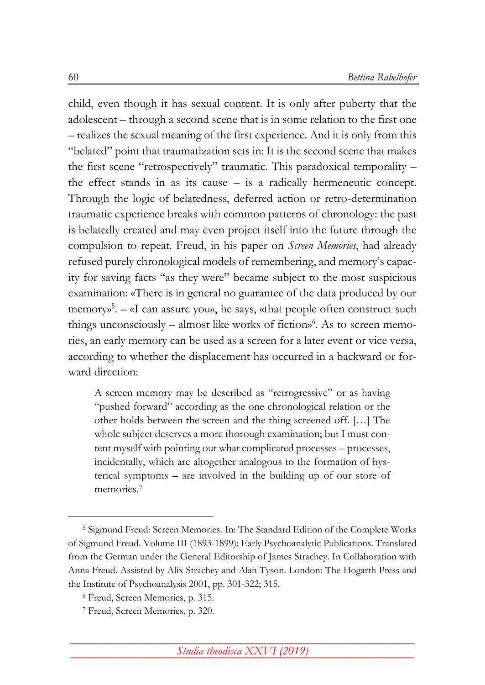child, even though it has sexual content. It is only after puberty that the adolescent – through a second scene that is in some relation to the first one – realizes the sexual meaning of the first experience. And it is only from this "belated" point that traumatization sets in: It is the second scene that makes the first scene "retrospectively" traumatic. This paradoxical temporality – the effect stands in as its cause – is a radically hermeneutic concept. Through the logic of belatedness, deferred action or retro-determination traumatic experience breaks with common patterns of chronology: the past is belatedly created and may even project itself into the future through the compulsion to repeat. Freud, in his paper on *Screen Memories*, had already refused purely chronological models of remembering, and memory's capacity for saving facts "as they were" became subject to the most suspicious examination: «There is in general no guarantee of the data produced by our memory»<sup>5</sup>. – «I can assure you», he says, «that people often construct such things unconsciously – almost like works of fiction»<sup>6</sup>. As to screen memories, an early memory can be used as a screen for a later event or vice versa, according to whether the displacement has occurred in a backward or forward direction:

A screen memory may be described as "retrogressive" or as having "pushed forward" according as the one chronological relation or the other holds between the screen and the thing screened off. […] The whole subject deserves a more thorough examination; but I must content myself with pointing out what complicated processes – processes, incidentally, which are altogether analogous to the formation of hysterical symptoms – are involved in the building up of our store of memories.<sup>7</sup>

<sup>5</sup> Sigmund Freud: Screen Memories. In: The Standard Edition of the Complete Works of Sigmund Freud. Volume III (1893-1899): Early Psychoanalytic Publications. Translated from the German under the General Editorship of James Strachey. In Collaboration with Anna Freud. Assisted by Alix Strachey and Alan Tyson. London: The Hogarth Press and the Institute of Psychoanalysis 2001, pp. 301-322; 315.

<sup>6</sup> Freud, Screen Memories, p. 315.

<sup>7</sup> Freud, Screen Memories, p. 320.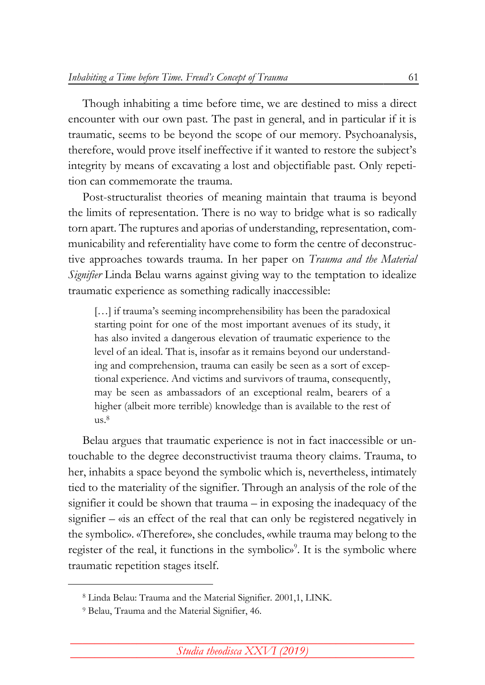Though inhabiting a time before time, we are destined to miss a direct encounter with our own past. The past in general, and in particular if it is traumatic, seems to be beyond the scope of our memory. Psychoanalysis, therefore, would prove itself ineffective if it wanted to restore the subject's integrity by means of excavating a lost and objectifiable past. Only repetition can commemorate the trauma.

Post-structuralist theories of meaning maintain that trauma is beyond the limits of representation. There is no way to bridge what is so radically torn apart. The ruptures and aporias of understanding, representation, communicability and referentiality have come to form the centre of deconstructive approaches towards trauma. In her paper on *Trauma and the Material Signifier* Linda Belau warns against giving way to the temptation to idealize traumatic experience as something radically inaccessible:

[...] if trauma's seeming incomprehensibility has been the paradoxical starting point for one of the most important avenues of its study, it has also invited a dangerous elevation of traumatic experience to the level of an ideal. That is, insofar as it remains beyond our understanding and comprehension, trauma can easily be seen as a sort of exceptional experience. And victims and survivors of trauma, consequently, may be seen as ambassadors of an exceptional realm, bearers of a higher (albeit more terrible) knowledge than is available to the rest of  $us.<sup>8</sup>$ 

Belau argues that traumatic experience is not in fact inaccessible or untouchable to the degree deconstructivist trauma theory claims. Trauma, to her, inhabits a space beyond the symbolic which is, nevertheless, intimately tied to the materiality of the signifier. Through an analysis of the role of the signifier it could be shown that trauma – in exposing the inadequacy of the signifier – «is an effect of the real that can only be registered negatively in the symbolic». «Therefore», she concludes, «while trauma may belong to the register of the real, it functions in the symbolic»<sup>9</sup>. It is the symbolic where traumatic repetition stages itself.

<sup>8</sup> Linda Belau: Trauma and the Material Signifier. 2001,1[, LINK.](http://pmc.iath.virginia.edu/text-only/issue.101/11.2belau.txt)

<sup>9</sup> Belau, Trauma and the Material Signifier, 46.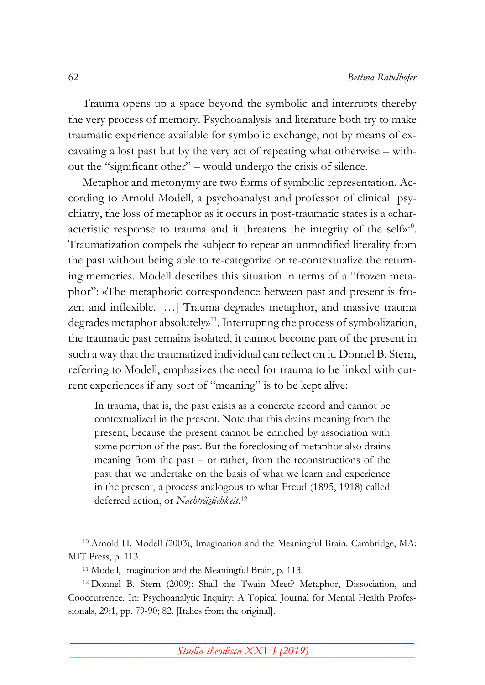Trauma opens up a space beyond the symbolic and interrupts thereby the very process of memory. Psychoanalysis and literature both try to make traumatic experience available for symbolic exchange, not by means of excavating a lost past but by the very act of repeating what otherwise – without the "significant other" – would undergo the crisis of silence.

Metaphor and metonymy are two forms of symbolic representation. According to Arnold Modell, a psychoanalyst and professor of clinical psychiatry, the loss of metaphor as it occurs in post-traumatic states is a «characteristic response to trauma and it threatens the integrity of the selfo<sup>10</sup>. Traumatization compels the subject to repeat an unmodified literality from the past without being able to re-categorize or re-contextualize the returning memories. Modell describes this situation in terms of a "frozen metaphor": «The metaphoric correspondence between past and present is frozen and inflexible. […] Trauma degrades metaphor, and massive trauma degrades metaphor absolutely»<sup>11</sup>. Interrupting the process of symbolization, the traumatic past remains isolated, it cannot become part of the present in such a way that the traumatized individual can reflect on it. Donnel B. Stern, referring to Modell, emphasizes the need for trauma to be linked with current experiences if any sort of "meaning" is to be kept alive:

In trauma, that is, the past exists as a concrete record and cannot be contextualized in the present. Note that this drains meaning from the present, because the present cannot be enriched by association with some portion of the past. But the foreclosing of metaphor also drains meaning from the past – or rather, from the reconstructions of the past that we undertake on the basis of what we learn and experience in the present, a process analogous to what Freud (1895, 1918) called deferred action, or *Nachträglichkeit*. 12

<sup>10</sup> Arnold H. Modell (2003), Imagination and the Meaningful Brain. Cambridge, MA: MIT Press, p. 113.

<sup>11</sup> Modell, Imagination and the Meaningful Brain, p. 113.

<sup>12</sup> Donnel B. Stern (2009): Shall the Twain Meet? Metaphor, Dissociation, and Cooccurrence. In: Psychoanalytic Inquiry: A Topical Journal for Mental Health Professionals, 29:1, pp. 79-90; 82. [Italics from the original].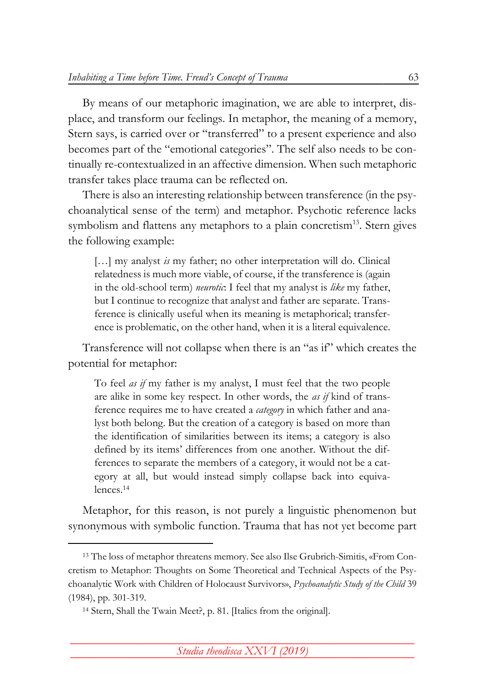By means of our metaphoric imagination, we are able to interpret, displace, and transform our feelings. In metaphor, the meaning of a memory, Stern says, is carried over or "transferred" to a present experience and also becomes part of the "emotional categories". The self also needs to be continually re-contextualized in an affective dimension. When such metaphoric transfer takes place trauma can be reflected on.

There is also an interesting relationship between transference (in the psychoanalytical sense of the term) and metaphor. Psychotic reference lacks symbolism and flattens any metaphors to a plain concretism<sup>13</sup>. Stern gives the following example:

[...] my analyst *is* my father; no other interpretation will do. Clinical relatedness is much more viable, of course, if the transference is (again in the old-school term) *neurotic*: I feel that my analyst is *like* my father, but I continue to recognize that analyst and father are separate. Transference is clinically useful when its meaning is metaphorical; transference is problematic, on the other hand, when it is a literal equivalence.

Transference will not collapse when there is an "as if" which creates the potential for metaphor:

To feel *as if* my father is my analyst, I must feel that the two people are alike in some key respect. In other words, the *as if* kind of transference requires me to have created a *category* in which father and analyst both belong. But the creation of a category is based on more than the identification of similarities between its items; a category is also defined by its items' differences from one another. Without the differences to separate the members of a category, it would not be a category at all, but would instead simply collapse back into equivalences.<sup>14</sup>

Metaphor, for this reason, is not purely a linguistic phenomenon but synonymous with symbolic function. Trauma that has not yet become part

<sup>13</sup> The loss of metaphor threatens memory. See also Ilse Grubrich-Simitis, «From Concretism to Metaphor: Thoughts on Some Theoretical and Technical Aspects of the Psychoanalytic Work with Children of Holocaust Survivors», *Psychoanalytic Study of the Child* 39 (1984), pp. 301-319.

<sup>14</sup> Stern, Shall the Twain Meet?, p. 81. [Italics from the original].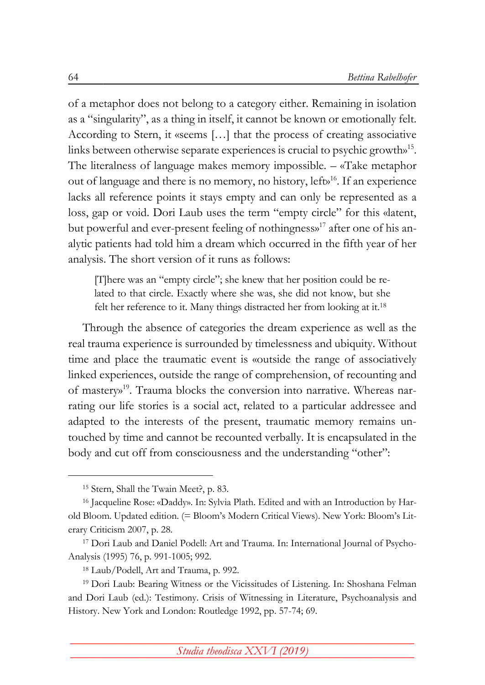of a metaphor does not belong to a category either. Remaining in isolation as a "singularity", as a thing in itself, it cannot be known or emotionally felt. According to Stern, it «seems […] that the process of creating associative links between otherwise separate experiences is crucial to psychic growth»<sup>15</sup> . The literalness of language makes memory impossible. – «Take metaphor out of language and there is no memory, no history, left»<sup>16</sup>. If an experience lacks all reference points it stays empty and can only be represented as a loss, gap or void. Dori Laub uses the term "empty circle" for this «latent, but powerful and ever-present feeling of nothingness»<sup>17</sup> after one of his analytic patients had told him a dream which occurred in the fifth year of her analysis. The short version of it runs as follows:

[T]here was an "empty circle"; she knew that her position could be related to that circle. Exactly where she was, she did not know, but she felt her reference to it. Many things distracted her from looking at it.<sup>18</sup>

Through the absence of categories the dream experience as well as the real trauma experience is surrounded by timelessness and ubiquity. Without time and place the traumatic event is «outside the range of associatively linked experiences, outside the range of comprehension, of recounting and of mastery»<sup>19</sup>. Trauma blocks the conversion into narrative. Whereas narrating our life stories is a social act, related to a particular addressee and adapted to the interests of the present, traumatic memory remains untouched by time and cannot be recounted verbally. It is encapsulated in the body and cut off from consciousness and the understanding "other":

<sup>15</sup> Stern, Shall the Twain Meet?, p. 83.

<sup>16</sup> Jacqueline Rose: «Daddy». In: Sylvia Plath. Edited and with an Introduction by Harold Bloom. Updated edition. (= Bloom's Modern Critical Views). New York: Bloom's Literary Criticism 2007, p. 28.

<sup>17</sup> Dori Laub and Daniel Podell: Art and Trauma. In: International Journal of Psycho-Analysis (1995) 76, p. 991-1005; 992.

<sup>18</sup> Laub/Podell, Art and Trauma, p. 992.

<sup>19</sup> Dori Laub: Bearing Witness or the Vicissitudes of Listening. In: Shoshana Felman and Dori Laub (ed.): Testimony. Crisis of Witnessing in Literature, Psychoanalysis and History. New York and London: Routledge 1992, pp. 57-74; 69.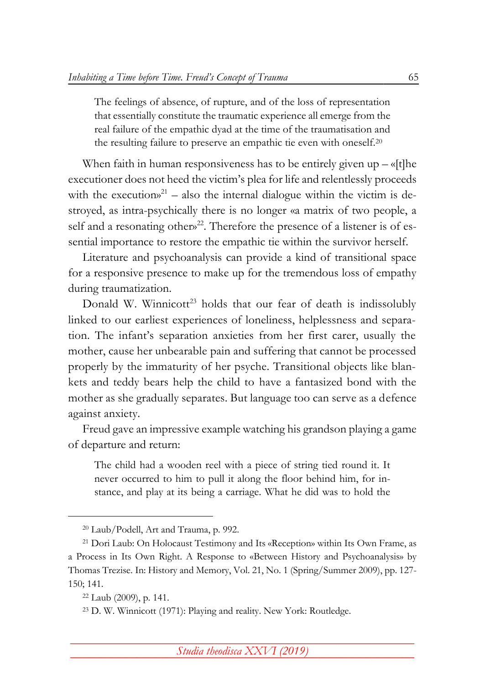The feelings of absence, of rupture, and of the loss of representation that essentially constitute the traumatic experience all emerge from the real failure of the empathic dyad at the time of the traumatisation and the resulting failure to preserve an empathic tie even with oneself.<sup>20</sup>

When faith in human responsiveness has to be entirely given  $up - \alpha$  [t]he executioner does not heed the victim's plea for life and relentlessly proceeds with the executions<sup>21</sup> – also the internal dialogue within the victim is destroyed, as intra-psychically there is no longer «a matrix of two people, a self and a resonating other $x^{22}$ . Therefore the presence of a listener is of essential importance to restore the empathic tie within the survivor herself.

Literature and psychoanalysis can provide a kind of transitional space for a responsive presence to make up for the tremendous loss of empathy during traumatization.

Donald W. Winnicott<sup>23</sup> holds that our fear of death is indissolubly linked to our earliest experiences of loneliness, helplessness and separation. The infant's separation anxieties from her first carer, usually the mother, cause her unbearable pain and suffering that cannot be processed properly by the immaturity of her psyche. Transitional objects like blankets and teddy bears help the child to have a fantasized bond with the mother as she gradually separates. But language too can serve as a defence against anxiety.

Freud gave an impressive example watching his grandson playing a game of departure and return:

The child had a wooden reel with a piece of string tied round it. It never occurred to him to pull it along the floor behind him, for instance, and play at its being a carriage. What he did was to hold the

<sup>20</sup> Laub/Podell, Art and Trauma, p. 992.

<sup>21</sup> Dori Laub: On Holocaust Testimony and Its «Reception» within Its Own Frame, as a Process in Its Own Right. A Response to «Between History and Psychoanalysis» by Thomas Trezise. In: History and Memory, Vol. 21, No. 1 (Spring/Summer 2009), pp. 127- 150; 141.

<sup>22</sup> Laub (2009), p. 141.

<sup>23</sup> D. W. Winnicott (1971): Playing and reality. New York: Routledge.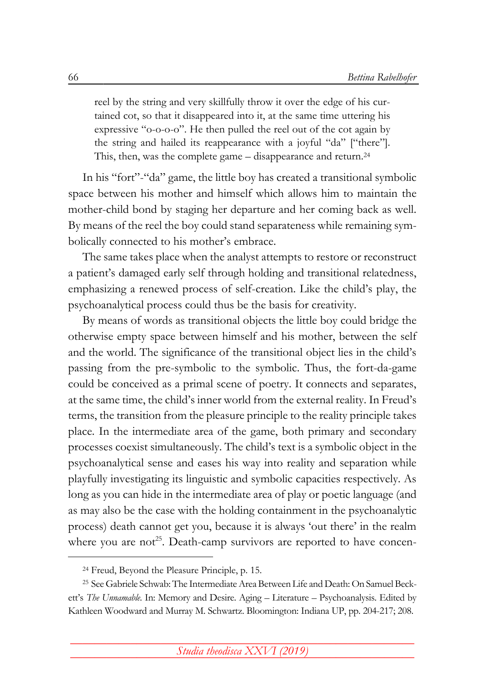reel by the string and very skillfully throw it over the edge of his curtained cot, so that it disappeared into it, at the same time uttering his expressive "o-o-o-o". He then pulled the reel out of the cot again by the string and hailed its reappearance with a joyful "da" ["there"]. This, then, was the complete game – disappearance and return.<sup>24</sup>

In his "fort"-"da" game, the little boy has created a transitional symbolic space between his mother and himself which allows him to maintain the mother-child bond by staging her departure and her coming back as well. By means of the reel the boy could stand separateness while remaining symbolically connected to his mother's embrace.

The same takes place when the analyst attempts to restore or reconstruct a patient's damaged early self through holding and transitional relatedness, emphasizing a renewed process of self-creation. Like the child's play, the psychoanalytical process could thus be the basis for creativity.

By means of words as transitional objects the little boy could bridge the otherwise empty space between himself and his mother, between the self and the world. The significance of the transitional object lies in the child's passing from the pre-symbolic to the symbolic. Thus, the fort-da-game could be conceived as a primal scene of poetry. It connects and separates, at the same time, the child's inner world from the external reality. In Freud's terms, the transition from the pleasure principle to the reality principle takes place. In the intermediate area of the game, both primary and secondary processes coexist simultaneously. The child's text is a symbolic object in the psychoanalytical sense and eases his way into reality and separation while playfully investigating its linguistic and symbolic capacities respectively. As long as you can hide in the intermediate area of play or poetic language (and as may also be the case with the holding containment in the psychoanalytic process) death cannot get you, because it is always 'out there' in the realm where you are not<sup>25</sup>. Death-camp survivors are reported to have concen-

<sup>24</sup> Freud, Beyond the Pleasure Principle, p. 15.

<sup>&</sup>lt;sup>25</sup> See Gabriele Schwab: The Intermediate Area Between Life and Death: On Samuel Beckett's *The Unnamable*. In: Memory and Desire. Aging – Literature – Psychoanalysis. Edited by Kathleen Woodward and Murray M. Schwartz. Bloomington: Indiana UP, pp. 204-217; 208.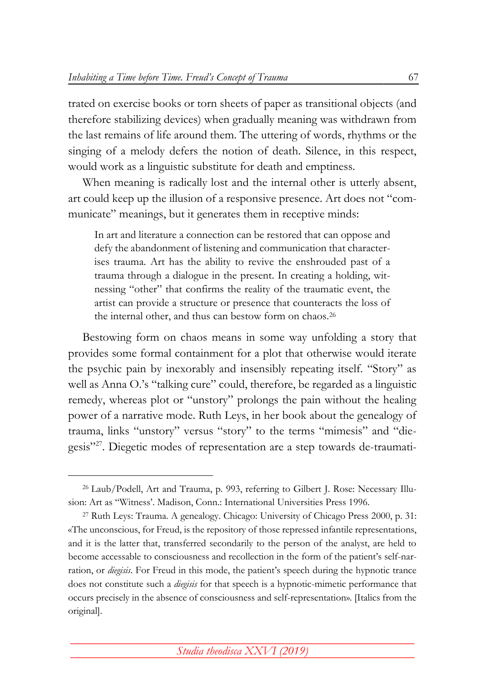trated on exercise books or torn sheets of paper as transitional objects (and therefore stabilizing devices) when gradually meaning was withdrawn from the last remains of life around them. The uttering of words, rhythms or the singing of a melody defers the notion of death. Silence, in this respect, would work as a linguistic substitute for death and emptiness.

When meaning is radically lost and the internal other is utterly absent, art could keep up the illusion of a responsive presence. Art does not "communicate" meanings, but it generates them in receptive minds:

In art and literature a connection can be restored that can oppose and defy the abandonment of listening and communication that characterises trauma. Art has the ability to revive the enshrouded past of a trauma through a dialogue in the present. In creating a holding, witnessing "other" that confirms the reality of the traumatic event, the artist can provide a structure or presence that counteracts the loss of the internal other, and thus can bestow form on chaos.<sup>26</sup>

Bestowing form on chaos means in some way unfolding a story that provides some formal containment for a plot that otherwise would iterate the psychic pain by inexorably and insensibly repeating itself. "Story" as well as Anna O.'s "talking cure" could, therefore, be regarded as a linguistic remedy, whereas plot or "unstory" prolongs the pain without the healing power of a narrative mode. Ruth Leys, in her book about the genealogy of trauma, links "unstory" versus "story" to the terms "mimesis" and "diegesis"<sup>27</sup>. Diegetic modes of representation are a step towards de-traumati-

<sup>26</sup> Laub/Podell, Art and Trauma, p. 993, referring to Gilbert J. Rose: Necessary Illusion: Art as "Witness'. Madison, Conn.: International Universities Press 1996.

<sup>27</sup> Ruth Leys: Trauma. A genealogy. Chicago: University of Chicago Press 2000, p. 31: «The unconscious, for Freud, is the repository of those repressed infantile representations, and it is the latter that, transferred secondarily to the person of the analyst, are held to become accessable to consciousness and recollection in the form of the patient's self-narration, or *diegisis*. For Freud in this mode, the patient's speech during the hypnotic trance does not constitute such a *diegisis* for that speech is a hypnotic-mimetic performance that occurs precisely in the absence of consciousness and self-representation». [Italics from the original].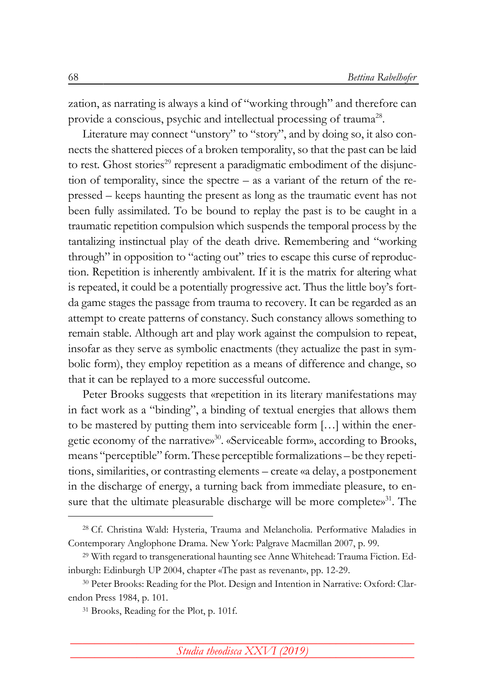zation, as narrating is always a kind of "working through" and therefore can provide a conscious, psychic and intellectual processing of trauma<sup>28</sup>.

Literature may connect "unstory" to "story", and by doing so, it also connects the shattered pieces of a broken temporality, so that the past can be laid to rest. Ghost stories<sup>29</sup> represent a paradigmatic embodiment of the disjunction of temporality, since the spectre – as a variant of the return of the repressed – keeps haunting the present as long as the traumatic event has not been fully assimilated. To be bound to replay the past is to be caught in a traumatic repetition compulsion which suspends the temporal process by the tantalizing instinctual play of the death drive. Remembering and "working through" in opposition to "acting out" tries to escape this curse of reproduction. Repetition is inherently ambivalent. If it is the matrix for altering what is repeated, it could be a potentially progressive act. Thus the little boy's fortda game stages the passage from trauma to recovery. It can be regarded as an attempt to create patterns of constancy. Such constancy allows something to remain stable. Although art and play work against the compulsion to repeat, insofar as they serve as symbolic enactments (they actualize the past in symbolic form), they employ repetition as a means of difference and change, so that it can be replayed to a more successful outcome.

Peter Brooks suggests that «repetition in its literary manifestations may in fact work as a "binding", a binding of textual energies that allows them to be mastered by putting them into serviceable form […] within the energetic economy of the narrative»<sup>30</sup>. «Serviceable form», according to Brooks, means "perceptible" form.These perceptible formalizations – be they repetitions, similarities, or contrasting elements – create «a delay, a postponement in the discharge of energy, a turning back from immediate pleasure, to ensure that the ultimate pleasurable discharge will be more complete»<sup>31</sup>. The

<sup>28</sup> Cf. Christina Wald: Hysteria, Trauma and Melancholia. Performative Maladies in Contemporary Anglophone Drama. New York: Palgrave Macmillan 2007, p. 99.

<sup>29</sup> With regard to transgenerational haunting see Anne Whitehead: Trauma Fiction. Edinburgh: Edinburgh UP 2004, chapter «The past as revenant», pp. 12-29.

<sup>30</sup> Peter Brooks: Reading for the Plot. Design and Intention in Narrative: Oxford: Clarendon Press 1984, p. 101.

<sup>31</sup> Brooks, Reading for the Plot, p. 101f.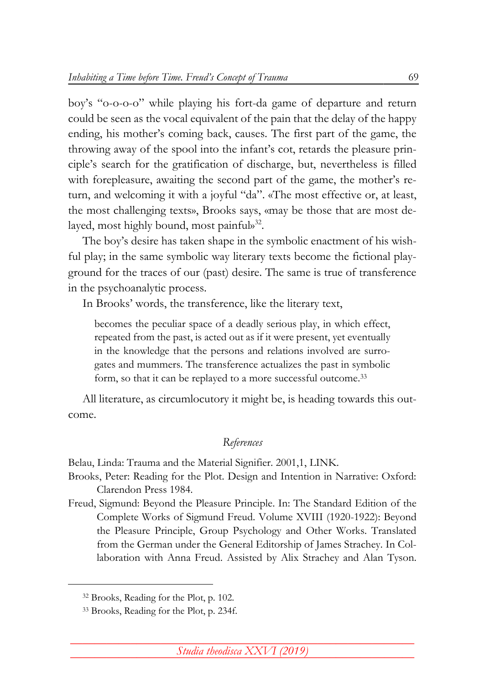boy's "o-o-o-o" while playing his fort-da game of departure and return could be seen as the vocal equivalent of the pain that the delay of the happy ending, his mother's coming back, causes. The first part of the game, the throwing away of the spool into the infant's cot, retards the pleasure principle's search for the gratification of discharge, but, nevertheless is filled with forepleasure, awaiting the second part of the game, the mother's return, and welcoming it with a joyful "da". «The most effective or, at least, the most challenging texts», Brooks says, «may be those that are most delayed, most highly bound, most painful»<sup>32</sup>.

The boy's desire has taken shape in the symbolic enactment of his wishful play; in the same symbolic way literary texts become the fictional playground for the traces of our (past) desire. The same is true of transference in the psychoanalytic process.

In Brooks' words, the transference, like the literary text,

becomes the peculiar space of a deadly serious play, in which effect, repeated from the past, is acted out as if it were present, yet eventually in the knowledge that the persons and relations involved are surrogates and mummers. The transference actualizes the past in symbolic form, so that it can be replayed to a more successful outcome.<sup>33</sup>

All literature, as circumlocutory it might be, is heading towards this outcome.

## *References*

Belau, Linda: Trauma and the Material Signifier. 2001,1, [LINK.](http://pmc.iath.virginia.edu/text-only/issue.101/11.2belau.txt)

Brooks, Peter: Reading for the Plot. Design and Intention in Narrative: Oxford: Clarendon Press 1984.

Freud, Sigmund: Beyond the Pleasure Principle. In: The Standard Edition of the Complete Works of Sigmund Freud. Volume XVIII (1920-1922): Beyond the Pleasure Principle, Group Psychology and Other Works. Translated from the German under the General Editorship of James Strachey. In Collaboration with Anna Freud. Assisted by Alix Strachey and Alan Tyson.

<sup>32</sup> Brooks, Reading for the Plot, p. 102.

<sup>33</sup> Brooks, Reading for the Plot, p. 234f.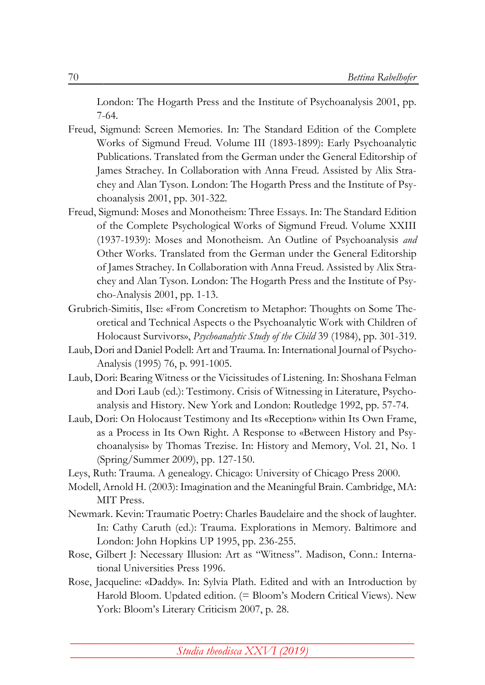London: The Hogarth Press and the Institute of Psychoanalysis 2001, pp. 7-64.

- Freud, Sigmund: Screen Memories. In: The Standard Edition of the Complete Works of Sigmund Freud. Volume III (1893-1899): Early Psychoanalytic Publications. Translated from the German under the General Editorship of James Strachey. In Collaboration with Anna Freud. Assisted by Alix Strachey and Alan Tyson. London: The Hogarth Press and the Institute of Psychoanalysis 2001, pp. 301-322.
- Freud, Sigmund: Moses and Monotheism: Three Essays. In: The Standard Edition of the Complete Psychological Works of Sigmund Freud. Volume XXIII (1937-1939): Moses and Monotheism. An Outline of Psychoanalysis *and* Other Works. Translated from the German under the General Editorship of James Strachey. In Collaboration with Anna Freud. Assisted by Alix Strachey and Alan Tyson. London: The Hogarth Press and the Institute of Psycho-Analysis 2001, pp. 1-13.
- Grubrich-Simitis, Ilse: «From Concretism to Metaphor: Thoughts on Some Theoretical and Technical Aspects o the Psychoanalytic Work with Children of Holocaust Survivors», *Psychoanalytic Study of the Child* 39 (1984), pp. 301-319.
- Laub, Dori and Daniel Podell: Art and Trauma. In: International Journal of Psycho-Analysis (1995) 76, p. 991-1005.
- Laub, Dori: Bearing Witness or the Vicissitudes of Listening. In: Shoshana Felman and Dori Laub (ed.): Testimony. Crisis of Witnessing in Literature, Psychoanalysis and History. New York and London: Routledge 1992, pp. 57-74.
- Laub, Dori: On Holocaust Testimony and Its «Reception» within Its Own Frame, as a Process in Its Own Right. A Response to «Between History and Psychoanalysis» by Thomas Trezise. In: History and Memory, Vol. 21, No. 1 (Spring/Summer 2009), pp. 127-150.
- Leys, Ruth: Trauma. A genealogy. Chicago: University of Chicago Press 2000.
- Modell, Arnold H. (2003): Imagination and the Meaningful Brain. Cambridge, MA: MIT Press.
- Newmark. Kevin: Traumatic Poetry: Charles Baudelaire and the shock of laughter. In: Cathy Caruth (ed.): Trauma. Explorations in Memory. Baltimore and London: John Hopkins UP 1995, pp. 236-255.
- Rose, Gilbert J: Necessary Illusion: Art as "Witness". Madison, Conn.: International Universities Press 1996.
- Rose, Jacqueline: «Daddy». In: Sylvia Plath. Edited and with an Introduction by Harold Bloom. Updated edition. (= Bloom's Modern Critical Views). New York: Bloom's Literary Criticism 2007, p. 28.